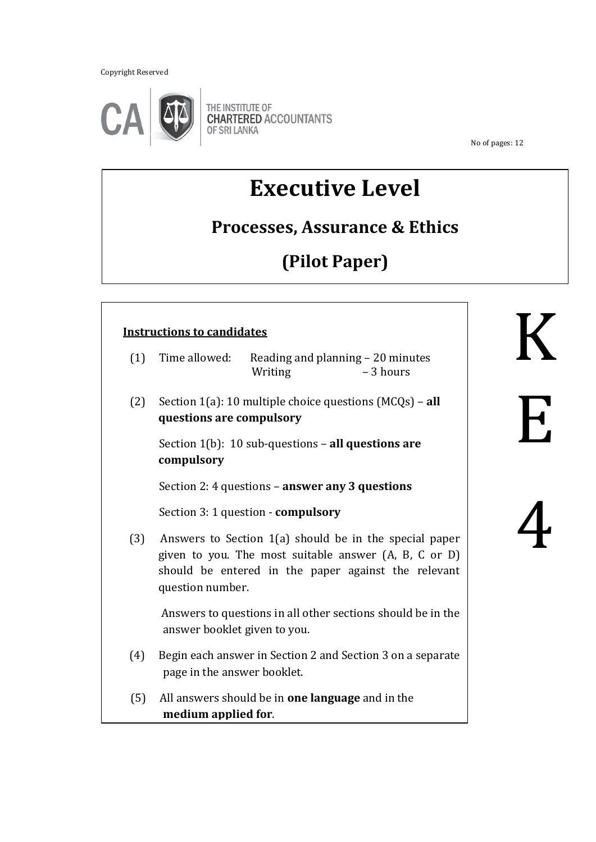Copyright Reserved



THE INSTITUTE OF<br>CHARTERED ACCOUNTANTS OF SRI LANKA

No of pages: 12

# **Executive Level**

# **Processes, Assurance & Ethics**

# **(Pilot Paper)**

|     | <b>Instructions to candidates</b>                                                                                                                                                          |             |
|-----|--------------------------------------------------------------------------------------------------------------------------------------------------------------------------------------------|-------------|
| (1) | Time allowed:<br>Reading and planning - 20 minutes<br>- 3 hours<br>Writing                                                                                                                 |             |
| (2) | Section $1(a)$ : 10 multiple choice questions $(MCQs)$ – all<br>questions are compulsory                                                                                                   | $H_{\rm g}$ |
|     | Section $1(b)$ : 10 sub-questions – all questions are<br>compulsory                                                                                                                        |             |
|     | Section 2: 4 questions – answer any 3 questions                                                                                                                                            |             |
|     | Section 3: 1 question - compulsory                                                                                                                                                         |             |
| (3) | Answers to Section 1(a) should be in the special paper<br>given to you. The most suitable answer (A, B, C or D)<br>should be entered in the paper against the relevant<br>question number. |             |
|     | Answers to questions in all other sections should be in the<br>answer booklet given to you.                                                                                                |             |
| (4) | Begin each answer in Section 2 and Section 3 on a separate<br>page in the answer booklet.                                                                                                  |             |
| (5) | All answers should be in one language and in the<br>medium applied for.                                                                                                                    |             |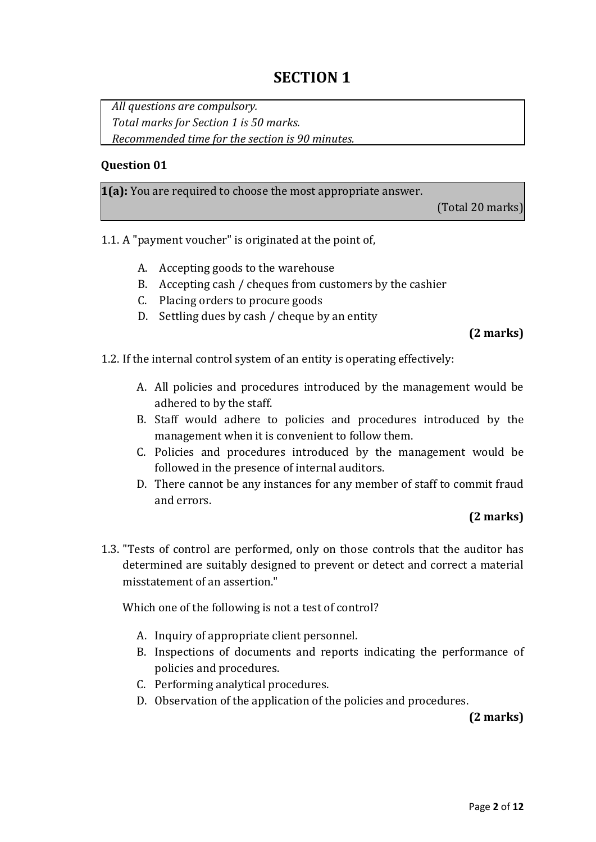# **SECTION 1**

*All questions are compulsory. Total marks for Section 1 is 50 marks. Recommended time for the section is 90 minutes.*

#### **Question 01**

**1(a):** You are required to choose the most appropriate answer.

(Total 20 marks)

- 1.1. A "payment voucher" is originated at the point of,
	- A. Accepting goods to the warehouse
	- B. Accepting cash / cheques from customers by the cashier
	- C. Placing orders to procure goods
	- D. Settling dues by cash / cheque by an entity

#### **(2 marks)**

1.2. If the internal control system of an entity is operating effectively:

- A. All policies and procedures introduced by the management would be adhered to by the staff.
- B. Staff would adhere to policies and procedures introduced by the management when it is convenient to follow them.
- C. Policies and procedures introduced by the management would be followed in the presence of internal auditors.
- D. There cannot be any instances for any member of staff to commit fraud and errors.

## **(2 marks)**

1.3. "Tests of control are performed, only on those controls that the auditor has determined are suitably designed to prevent or detect and correct a material misstatement of an assertion."

Which one of the following is not a test of control?

- A. Inquiry of appropriate client personnel.
- B. Inspections of documents and reports indicating the performance of policies and procedures.
- C. Performing analytical procedures.
- D. Observation of the application of the policies and procedures.

**(2 marks)**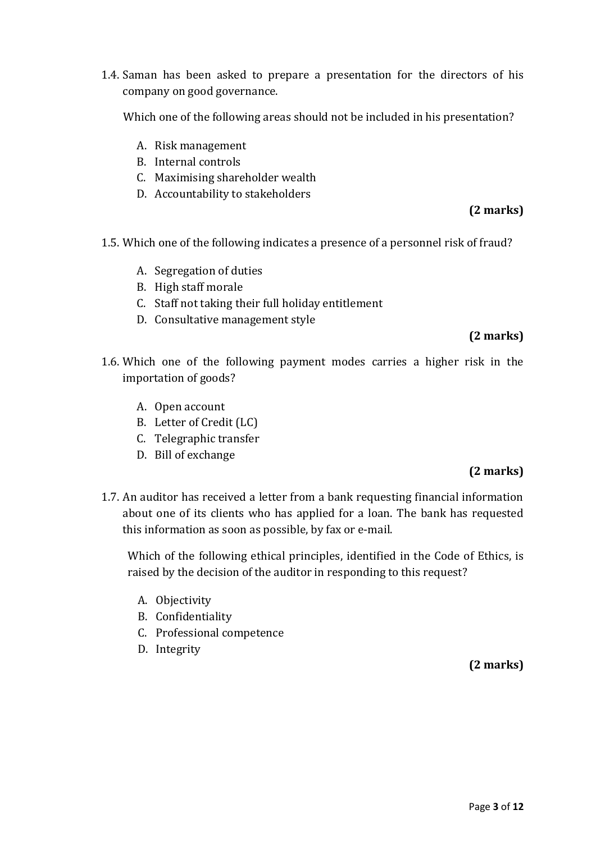1.4. Saman has been asked to prepare a presentation for the directors of his company on good governance.

Which one of the following areas should not be included in his presentation?

- A. Risk management
- B. Internal controls
- C. Maximising shareholder wealth
- D. Accountability to stakeholders

# **(2 marks)**

- 1.5. Which one of the following indicates a presence of a personnel risk of fraud?
	- A. Segregation of duties
	- B. High staff morale
	- C. Staff not taking their full holiday entitlement
	- D. Consultative management style

# **(2 marks)**

- 1.6. Which one of the following payment modes carries a higher risk in the importation of goods?
	- A. Open account
	- B. Letter of Credit (LC)
	- C. Telegraphic transfer
	- D. Bill of exchange

# **(2 marks)**

1.7. An auditor has received a letter from a bank requesting financial information about one of its clients who has applied for a loan. The bank has requested this information as soon as possible, by fax or e-mail.

Which of the following ethical principles, identified in the Code of Ethics, is raised by the decision of the auditor in responding to this request?

- A. Objectivity
- B. Confidentiality
- C. Professional competence
- D. Integrity

# **(2 marks)**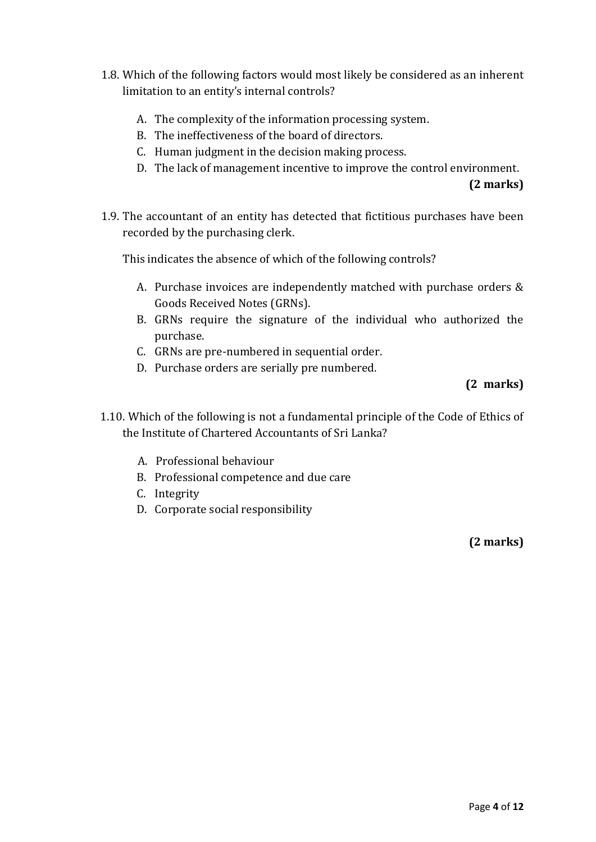- 1.8. Which of the following factors would most likely be considered as an inherent limitation to an entity's internal controls?
	- A. The complexity of the information processing system.
	- B. The ineffectiveness of the board of directors.
	- C. Human judgment in the decision making process.
	- D. The lack of management incentive to improve the control environment.

 **(2 marks)**

1.9. The accountant of an entity has detected that fictitious purchases have been recorded by the purchasing clerk.

This indicates the absence of which of the following controls?

- A. Purchase invoices are independently matched with purchase orders & Goods Received Notes (GRNs).
- B. GRNs require the signature of the individual who authorized the purchase.
- C. GRNs are pre-numbered in sequential order.
- D. Purchase orders are serially pre numbered.

# **(2 marks)**

- 1.10. Which of the following is not a fundamental principle of the Code of Ethics of the Institute of Chartered Accountants of Sri Lanka?
	- A. Professional behaviour
	- B. Professional competence and due care
	- C. Integrity
	- D. Corporate social responsibility

**(2 marks)**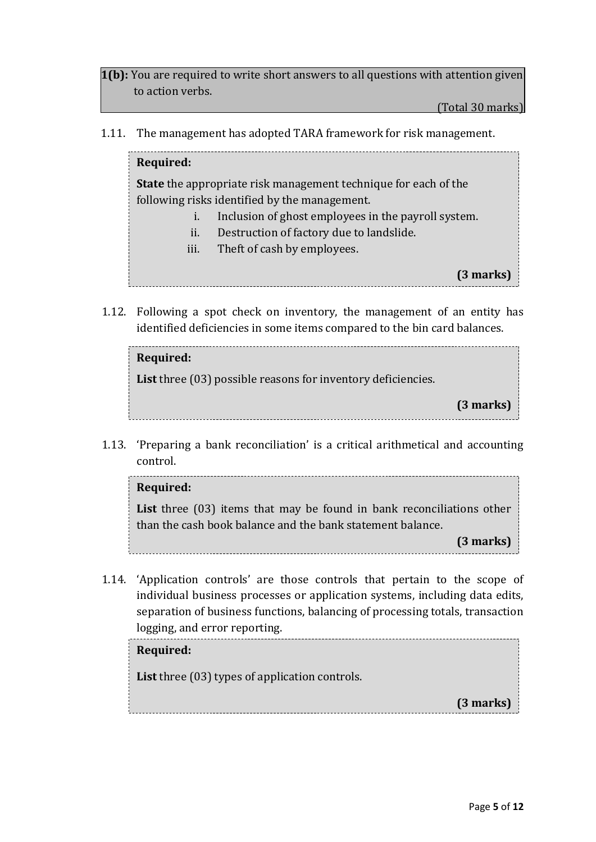**1(b):** You are required to write short answers to all questions with attention given to action verbs.

(Total 30 marks)

1.11. The management has adopted TARA framework for risk management.

#### **Required:**

**State** the appropriate risk management technique for each of the following risks identified by the management.

- i. Inclusion of ghost employees in the payroll system.
- ii. Destruction of factory due to landslide.
- iii. Theft of cash by employees.

**(3 marks)**

1.12. Following a spot check on inventory, the management of an entity has identified deficiencies in some items compared to the bin card balances.

| Required:                                                             |           |
|-----------------------------------------------------------------------|-----------|
| <b>List</b> three $(03)$ possible reasons for inventory deficiencies. |           |
|                                                                       | (3 marks) |

1.13. 'Preparing a bank reconciliation' is a critical arithmetical and accounting control.

# **Required:**

List three (03) items that may be found in bank reconciliations other than the cash book balance and the bank statement balance.

**(3 marks)**

1.14. 'Application controls' are those controls that pertain to the scope of individual business processes or application systems, including data edits, separation of business functions, balancing of processing totals, transaction **(3 marks)** logging, and error reporting.

## **Required:**

**List** three (03) types of application controls.

**(3 marks)**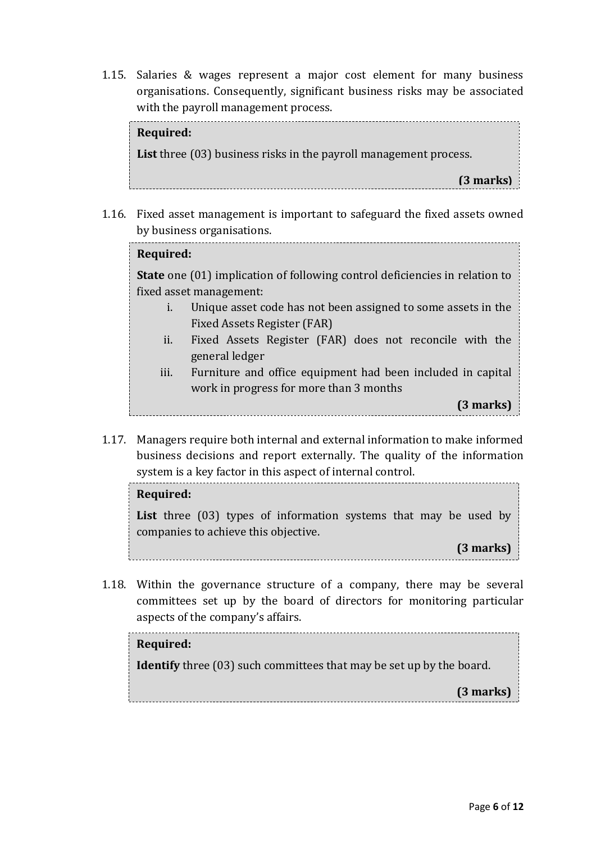1.15. Salaries & wages represent a major cost element for many business organisations. Consequently, significant business risks may be associated with the payroll management process.

# 1.16. Fixed asset management is important to safeguard the fixed assets owned **Required: List** three (03) business risks in the payroll management process. **(3 marks)**

- by business organisations. **Required: State** one (01) implication of following control deficiencies in relation to fixed asset management: i. Unique asset code has not been assigned to some assets in the Fixed Assets Register (FAR) ii. Fixed Assets Register (FAR) does not reconcile with the general ledger iii. Furniture and office equipment had been included in capital work in progress for more than 3 months **(3 marks)**
- 1.17. Managers require both internal and external information to make informed business decisions and report externally. The quality of the information system is a key factor in this aspect of internal control. **(3 marks)**

# **Required:**

List three (03) types of information systems that may be used by companies to achieve this objective.

**(3 marks)**

1.18. Within the governance structure of a company, there may be several committees set up by the board of directors for monitoring particular aspects of the company's affairs.

# **Required:**

**Identify** three (03) such committees that may be set up by the board.

**(3 marks)**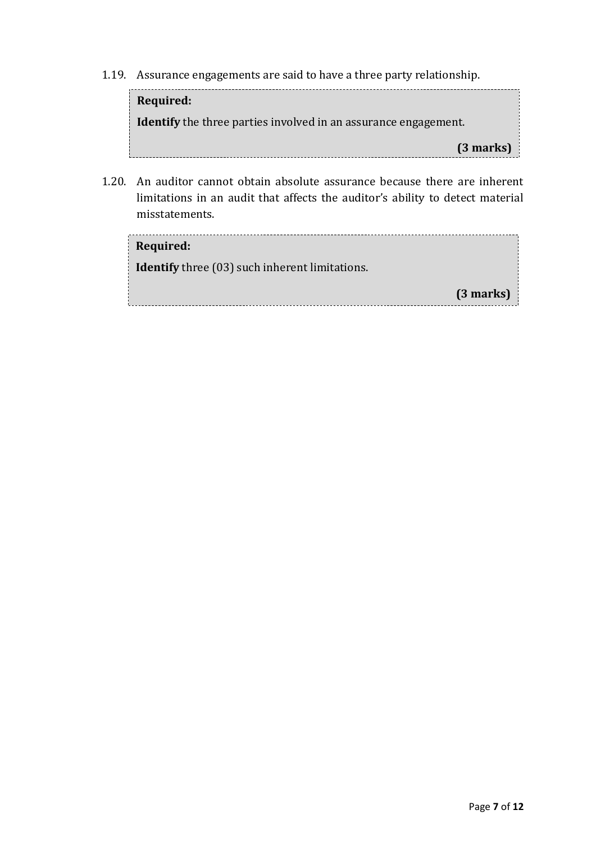1.19. Assurance engagements are said to have a three party relationship.



1.20. An auditor cannot obtain absolute assurance because there are inherent limitations in an audit that affects the auditor's ability to detect material misstatements.

| Required:                                             |             |
|-------------------------------------------------------|-------------|
| <b>Identify</b> three (03) such inherent limitations. |             |
|                                                       | $(3$ marks) |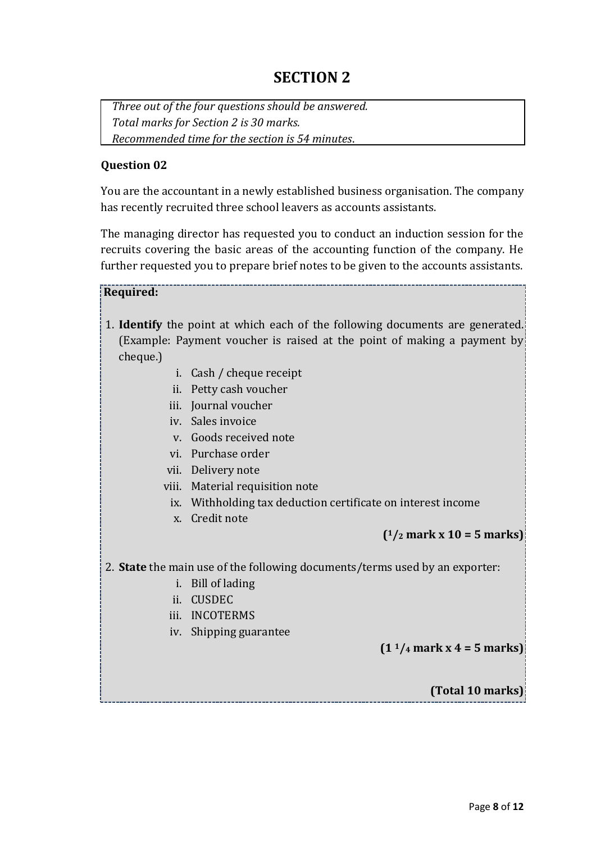# **SECTION 2**

*Three out of the four questions should be answered. Total marks for Section 2 is 30 marks. Recommended time for the section is 54 minutes*.

#### **Question 02**

You are the accountant in a newly established business organisation. The company has recently recruited three school leavers as accounts assistants.

The managing director has requested you to conduct an induction session for the recruits covering the basic areas of the accounting function of the company. He further requested you to prepare brief notes to be given to the accounts assistants.

#### **Required:**

- 1. **Identify** the point at which each of the following documents are generated. (Example: Payment voucher is raised at the point of making a payment by cheque.)
	- i. Cash / cheque receipt
	- ii. Petty cash voucher
	- iii. Journal voucher
	- iv. Sales invoice
	- v. Goods received note
	- vi. Purchase order
	- vii. Delivery note
	- viii. Material requisition note
	- ix. Withholding tax deduction certificate on interest income
	- x. Credit note

## **( <sup>1</sup>/<sup>2</sup> mark x 10 = 5 marks)**

2. **State** the main use of the following documents/terms used by an exporter:

- i. Bill of lading
- ii. CUSDEC
- iii. INCOTERMS
- iv. Shipping guarantee

**(1 <sup>1</sup>/<sup>4</sup> mark x 4 = 5 marks)**

**(Total 10 marks)**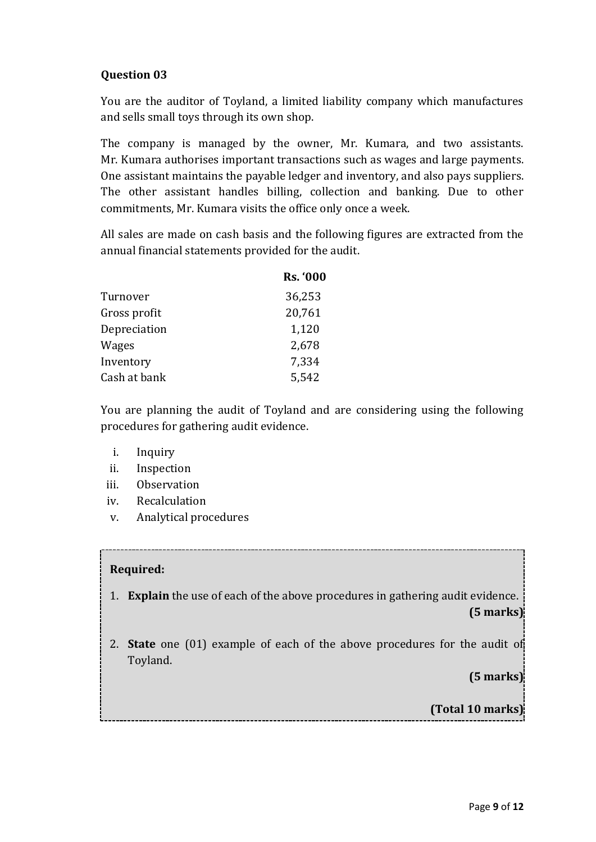# **Question 03**

You are the auditor of Toyland, a limited liability company which manufactures and sells small toys through its own shop.

The company is managed by the owner, Mr. Kumara, and two assistants. Mr. Kumara authorises important transactions such as wages and large payments. One assistant maintains the payable ledger and inventory, and also pays suppliers. The other assistant handles billing, collection and banking. Due to other commitments, Mr. Kumara visits the office only once a week.

All sales are made on cash basis and the following figures are extracted from the annual financial statements provided for the audit.

|              | <b>Rs. '000</b> |
|--------------|-----------------|
| Turnover     | 36,253          |
| Gross profit | 20,761          |
| Depreciation | 1,120           |
| Wages        | 2,678           |
| Inventory    | 7,334           |
| Cash at bank | 5,542           |

You are planning the audit of Toyland and are considering using the following procedures for gathering audit evidence.

- i. Inquiry
- ii. Inspection
- iii. Observation
- iv. Recalculation
- v. Analytical procedures

## **Required:**

- 1. **Explain** the use of each of the above procedures in gathering audit evidence. **(5 marks)**
- 2. **State** one (01) example of each of the above procedures for the audit of Toyland.

**(5 marks)**

**(Total 10 marks)**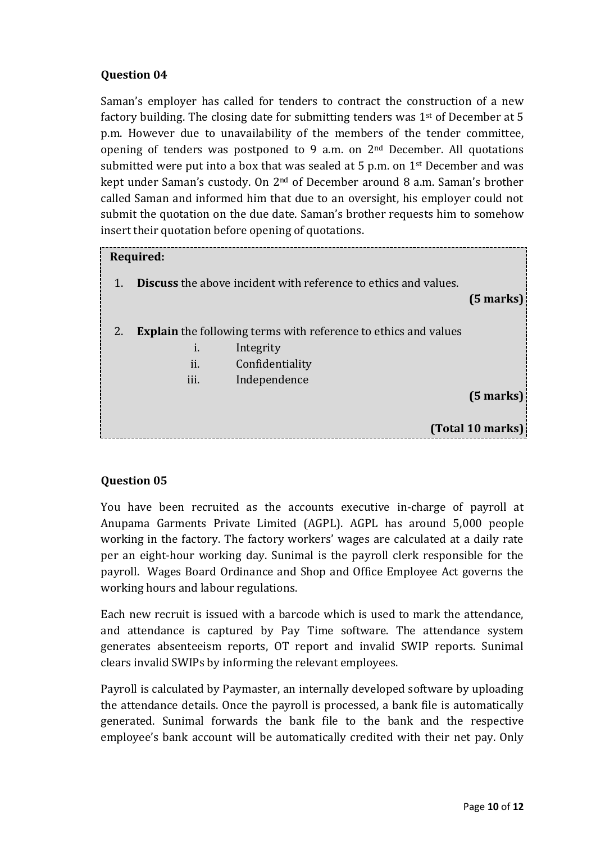# **Question 04**

Saman's employer has called for tenders to contract the construction of a new factory building. The closing date for submitting tenders was  $1<sup>st</sup>$  of December at 5 p.m. However due to unavailability of the members of the tender committee, opening of tenders was postponed to 9 a.m. on 2nd December. All quotations submitted were put into a box that was sealed at 5 p.m. on  $1<sup>st</sup>$  December and was kept under Saman's custody. On 2nd of December around 8 a.m. Saman's brother called Saman and informed him that due to an oversight, his employer could not submit the quotation on the due date. Saman's brother requests him to somehow insert their quotation before opening of quotations.

|    | Required:             |                                                                        |              |  |  |  |
|----|-----------------------|------------------------------------------------------------------------|--------------|--|--|--|
|    |                       | <b>Discuss</b> the above incident with reference to ethics and values. | $(5$ marks)  |  |  |  |
| 2. |                       | <b>Explain</b> the following terms with reference to ethics and values |              |  |  |  |
|    | 1.                    | Integrity                                                              |              |  |  |  |
|    | $\blacksquare$<br>11. | Confidentiality                                                        |              |  |  |  |
|    | 111.                  | Independence                                                           |              |  |  |  |
|    |                       |                                                                        | $(5$ marks): |  |  |  |
|    |                       |                                                                        |              |  |  |  |
|    | (Total 10 marks)      |                                                                        |              |  |  |  |

## **Question 05**

You have been recruited as the accounts executive in-charge of payroll at Anupama Garments Private Limited (AGPL). AGPL has around 5,000 people working in the factory. The factory workers' wages are calculated at a daily rate per an eight-hour working day. Sunimal is the payroll clerk responsible for the payroll. Wages Board Ordinance and Shop and Office Employee Act governs the working hours and labour regulations.

Each new recruit is issued with a barcode which is used to mark the attendance, and attendance is captured by Pay Time software. The attendance system generates absenteeism reports, OT report and invalid SWIP reports. Sunimal clears invalid SWIPs by informing the relevant employees.

Payroll is calculated by Paymaster, an internally developed software by uploading the attendance details. Once the payroll is processed, a bank file is automatically generated. Sunimal forwards the bank file to the bank and the respective employee's bank account will be automatically credited with their net pay. Only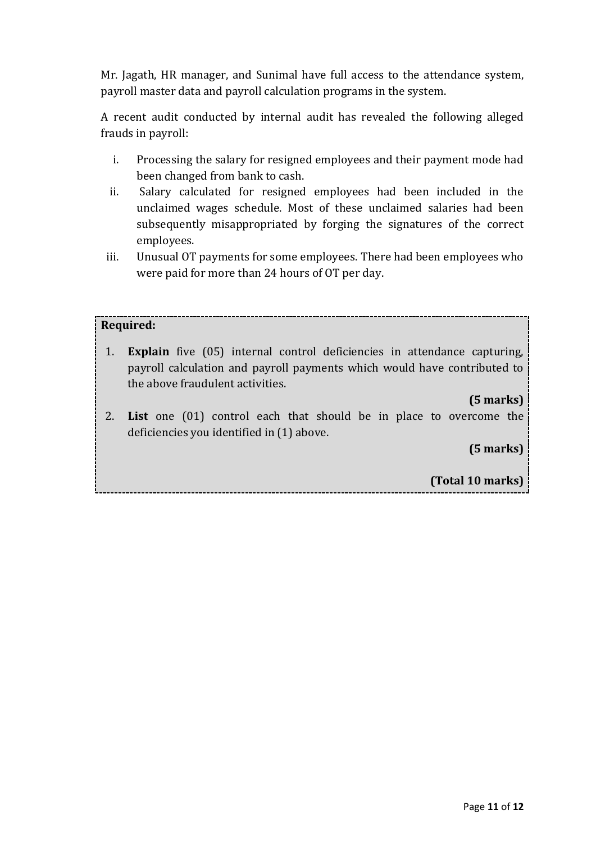Mr. Jagath, HR manager, and Sunimal have full access to the attendance system, payroll master data and payroll calculation programs in the system.

A recent audit conducted by internal audit has revealed the following alleged frauds in payroll:

- i. Processing the salary for resigned employees and their payment mode had been changed from bank to cash.
- ii. Salary calculated for resigned employees had been included in the unclaimed wages schedule. Most of these unclaimed salaries had been subsequently misappropriated by forging the signatures of the correct employees.
- iii. Unusual OT payments for some employees. There had been employees who were paid for more than 24 hours of OT per day.

# **Required:**

1. **Explain** five (05) internal control deficiencies in attendance capturing, payroll calculation and payroll payments which would have contributed to the above fraudulent activities.

# **(5 marks)**

2. **List** one (01) control each that should be in place to overcome the deficiencies you identified in (1) above.

**(5 marks)**

**(Total 10 marks)**